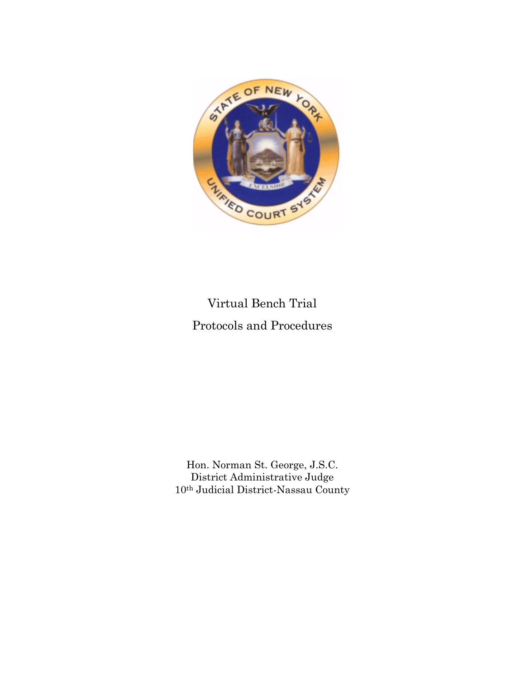

### Virtual Bench Trial Protocols and Procedures

Hon. Norman St. George, J.S.C. District Administrative Judge 10th Judicial District-Nassau County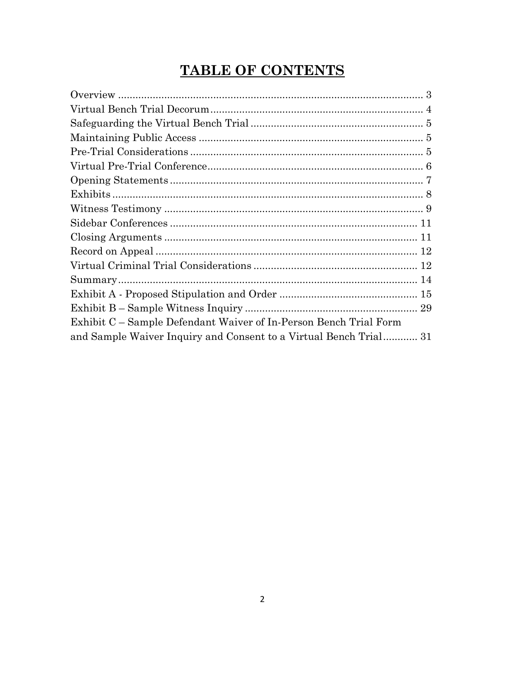### **TABLE OF CONTENTS**

| Exhibit C – Sample Defendant Waiver of In-Person Bench Trial Form |  |
|-------------------------------------------------------------------|--|
| and Sample Waiver Inquiry and Consent to a Virtual Bench Trial 31 |  |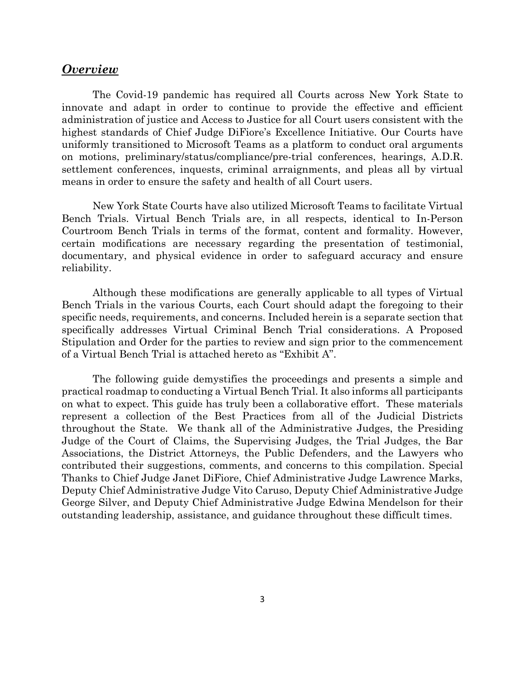#### *Overview*

The Covid-19 pandemic has required all Courts across New York State to innovate and adapt in order to continue to provide the effective and efficient administration of justice and Access to Justice for all Court users consistent with the highest standards of Chief Judge DiFiore's Excellence Initiative. Our Courts have uniformly transitioned to Microsoft Teams as a platform to conduct oral arguments on motions, preliminary/status/compliance/pre-trial conferences, hearings, A.D.R. settlement conferences, inquests, criminal arraignments, and pleas all by virtual means in order to ensure the safety and health of all Court users.

New York State Courts have also utilized Microsoft Teams to facilitate Virtual Bench Trials. Virtual Bench Trials are, in all respects, identical to In-Person Courtroom Bench Trials in terms of the format, content and formality. However, certain modifications are necessary regarding the presentation of testimonial, documentary, and physical evidence in order to safeguard accuracy and ensure reliability.

Although these modifications are generally applicable to all types of Virtual Bench Trials in the various Courts, each Court should adapt the foregoing to their specific needs, requirements, and concerns. Included herein is a separate section that specifically addresses Virtual Criminal Bench Trial considerations. A Proposed Stipulation and Order for the parties to review and sign prior to the commencement of a Virtual Bench Trial is attached hereto as "Exhibit A".

The following guide demystifies the proceedings and presents a simple and practical roadmap to conducting a Virtual Bench Trial. It also informs all participants on what to expect. This guide has truly been a collaborative effort. These materials represent a collection of the Best Practices from all of the Judicial Districts throughout the State. We thank all of the Administrative Judges, the Presiding Judge of the Court of Claims, the Supervising Judges, the Trial Judges, the Bar Associations, the District Attorneys, the Public Defenders, and the Lawyers who contributed their suggestions, comments, and concerns to this compilation. Special Thanks to Chief Judge Janet DiFiore, Chief Administrative Judge Lawrence Marks, Deputy Chief Administrative Judge Vito Caruso, Deputy Chief Administrative Judge George Silver, and Deputy Chief Administrative Judge Edwina Mendelson for their outstanding leadership, assistance, and guidance throughout these difficult times.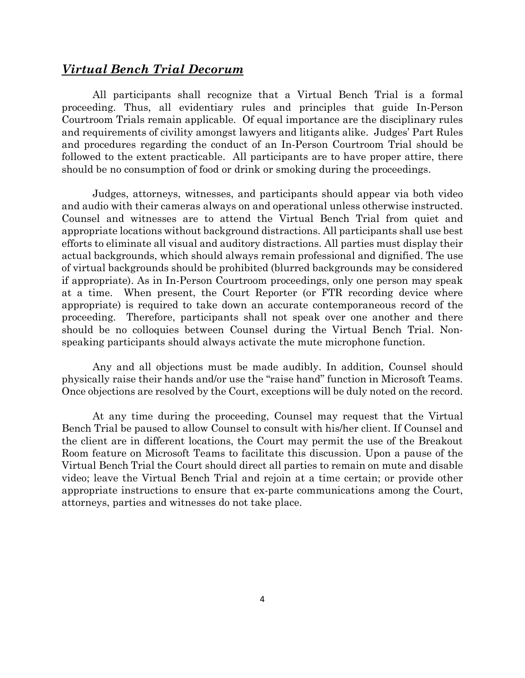#### *Virtual Bench Trial Decorum*

All participants shall recognize that a Virtual Bench Trial is a formal proceeding. Thus, all evidentiary rules and principles that guide In-Person Courtroom Trials remain applicable. Of equal importance are the disciplinary rules and requirements of civility amongst lawyers and litigants alike. Judges' Part Rules and procedures regarding the conduct of an In-Person Courtroom Trial should be followed to the extent practicable. All participants are to have proper attire, there should be no consumption of food or drink or smoking during the proceedings.

Judges, attorneys, witnesses, and participants should appear via both video and audio with their cameras always on and operational unless otherwise instructed. Counsel and witnesses are to attend the Virtual Bench Trial from quiet and appropriate locations without background distractions. All participants shall use best efforts to eliminate all visual and auditory distractions. All parties must display their actual backgrounds, which should always remain professional and dignified. The use of virtual backgrounds should be prohibited (blurred backgrounds may be considered if appropriate). As in In-Person Courtroom proceedings, only one person may speak at a time. When present, the Court Reporter (or FTR recording device where appropriate) is required to take down an accurate contemporaneous record of the proceeding. Therefore, participants shall not speak over one another and there should be no colloquies between Counsel during the Virtual Bench Trial. Nonspeaking participants should always activate the mute microphone function.

Any and all objections must be made audibly. In addition, Counsel should physically raise their hands and/or use the "raise hand" function in Microsoft Teams. Once objections are resolved by the Court, exceptions will be duly noted on the record.

At any time during the proceeding, Counsel may request that the Virtual Bench Trial be paused to allow Counsel to consult with his/her client. If Counsel and the client are in different locations, the Court may permit the use of the Breakout Room feature on Microsoft Teams to facilitate this discussion. Upon a pause of the Virtual Bench Trial the Court should direct all parties to remain on mute and disable video; leave the Virtual Bench Trial and rejoin at a time certain; or provide other appropriate instructions to ensure that ex-parte communications among the Court, attorneys, parties and witnesses do not take place.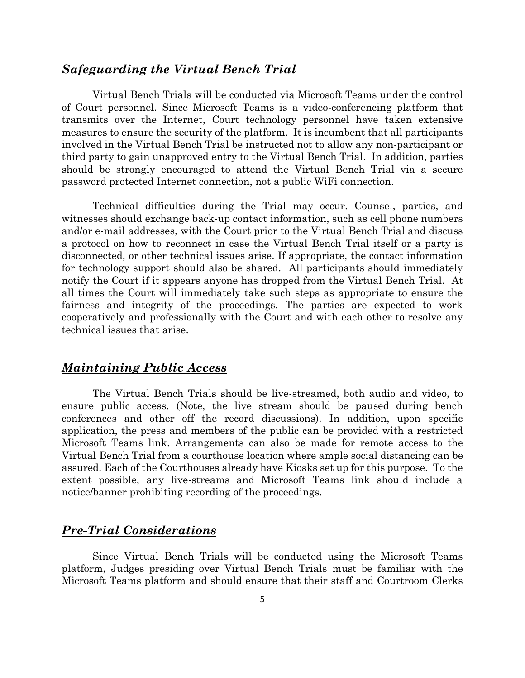#### *Safeguarding the Virtual Bench Trial*

Virtual Bench Trials will be conducted via Microsoft Teams under the control of Court personnel. Since Microsoft Teams is a video-conferencing platform that transmits over the Internet, Court technology personnel have taken extensive measures to ensure the security of the platform. It is incumbent that all participants involved in the Virtual Bench Trial be instructed not to allow any non-participant or third party to gain unapproved entry to the Virtual Bench Trial. In addition, parties should be strongly encouraged to attend the Virtual Bench Trial via a secure password protected Internet connection, not a public WiFi connection.

Technical difficulties during the Trial may occur. Counsel, parties, and witnesses should exchange back-up contact information, such as cell phone numbers and/or e-mail addresses, with the Court prior to the Virtual Bench Trial and discuss a protocol on how to reconnect in case the Virtual Bench Trial itself or a party is disconnected, or other technical issues arise. If appropriate, the contact information for technology support should also be shared. All participants should immediately notify the Court if it appears anyone has dropped from the Virtual Bench Trial. At all times the Court will immediately take such steps as appropriate to ensure the fairness and integrity of the proceedings. The parties are expected to work cooperatively and professionally with the Court and with each other to resolve any technical issues that arise.

#### *Maintaining Public Access*

The Virtual Bench Trials should be live-streamed, both audio and video, to ensure public access. (Note, the live stream should be paused during bench conferences and other off the record discussions). In addition, upon specific application, the press and members of the public can be provided with a restricted Microsoft Teams link. Arrangements can also be made for remote access to the Virtual Bench Trial from a courthouse location where ample social distancing can be assured. Each of the Courthouses already have Kiosks set up for this purpose. To the extent possible, any live-streams and Microsoft Teams link should include a notice/banner prohibiting recording of the proceedings.

#### *Pre-Trial Considerations*

Since Virtual Bench Trials will be conducted using the Microsoft Teams platform, Judges presiding over Virtual Bench Trials must be familiar with the Microsoft Teams platform and should ensure that their staff and Courtroom Clerks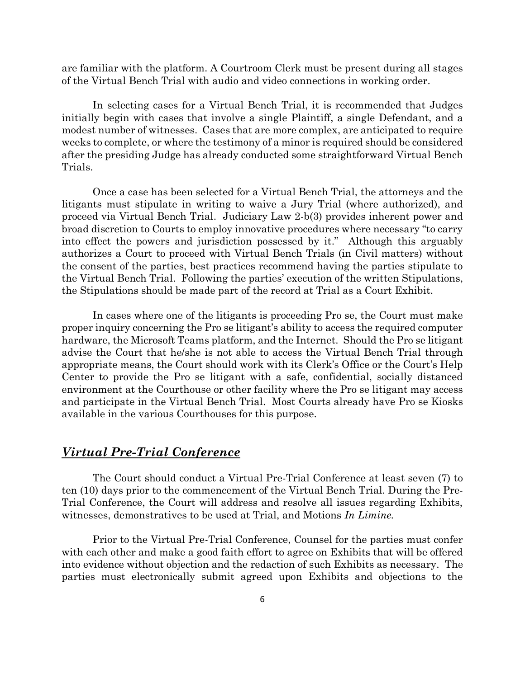are familiar with the platform. A Courtroom Clerk must be present during all stages of the Virtual Bench Trial with audio and video connections in working order.

In selecting cases for a Virtual Bench Trial, it is recommended that Judges initially begin with cases that involve a single Plaintiff, a single Defendant, and a modest number of witnesses. Cases that are more complex, are anticipated to require weeks to complete, or where the testimony of a minor is required should be considered after the presiding Judge has already conducted some straightforward Virtual Bench Trials.

Once a case has been selected for a Virtual Bench Trial, the attorneys and the litigants must stipulate in writing to waive a Jury Trial (where authorized), and proceed via Virtual Bench Trial. Judiciary Law 2-b(3) provides inherent power and broad discretion to Courts to employ innovative procedures where necessary "to carry into effect the powers and jurisdiction possessed by it." Although this arguably authorizes a Court to proceed with Virtual Bench Trials (in Civil matters) without the consent of the parties, best practices recommend having the parties stipulate to the Virtual Bench Trial. Following the parties' execution of the written Stipulations, the Stipulations should be made part of the record at Trial as a Court Exhibit.

In cases where one of the litigants is proceeding Pro se, the Court must make proper inquiry concerning the Pro se litigant's ability to access the required computer hardware, the Microsoft Teams platform, and the Internet. Should the Pro se litigant advise the Court that he/she is not able to access the Virtual Bench Trial through appropriate means, the Court should work with its Clerk's Office or the Court's Help Center to provide the Pro se litigant with a safe, confidential, socially distanced environment at the Courthouse or other facility where the Pro se litigant may access and participate in the Virtual Bench Trial. Most Courts already have Pro se Kiosks available in the various Courthouses for this purpose.

#### *Virtual Pre-Trial Conference*

The Court should conduct a Virtual Pre-Trial Conference at least seven (7) to ten (10) days prior to the commencement of the Virtual Bench Trial. During the Pre-Trial Conference, the Court will address and resolve all issues regarding Exhibits, witnesses, demonstratives to be used at Trial, and Motions *In Limine.*

Prior to the Virtual Pre-Trial Conference, Counsel for the parties must confer with each other and make a good faith effort to agree on Exhibits that will be offered into evidence without objection and the redaction of such Exhibits as necessary. The parties must electronically submit agreed upon Exhibits and objections to the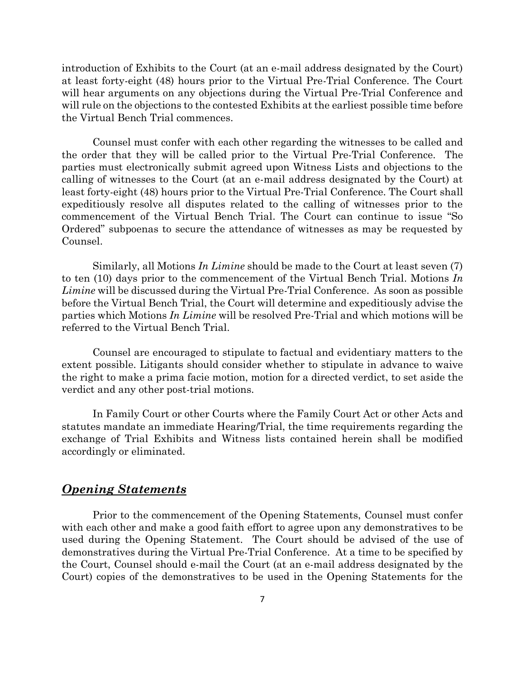introduction of Exhibits to the Court (at an e-mail address designated by the Court) at least forty-eight (48) hours prior to the Virtual Pre-Trial Conference. The Court will hear arguments on any objections during the Virtual Pre-Trial Conference and will rule on the objections to the contested Exhibits at the earliest possible time before the Virtual Bench Trial commences.

Counsel must confer with each other regarding the witnesses to be called and the order that they will be called prior to the Virtual Pre-Trial Conference. The parties must electronically submit agreed upon Witness Lists and objections to the calling of witnesses to the Court (at an e-mail address designated by the Court) at least forty-eight (48) hours prior to the Virtual Pre-Trial Conference. The Court shall expeditiously resolve all disputes related to the calling of witnesses prior to the commencement of the Virtual Bench Trial. The Court can continue to issue "So Ordered" subpoenas to secure the attendance of witnesses as may be requested by Counsel.

Similarly, all Motions *In Limine* should be made to the Court at least seven (7) to ten (10) days prior to the commencement of the Virtual Bench Trial. Motions *In Limine* will be discussed during the Virtual Pre-Trial Conference. As soon as possible before the Virtual Bench Trial, the Court will determine and expeditiously advise the parties which Motions *In Limine* will be resolved Pre-Trial and which motions will be referred to the Virtual Bench Trial.

Counsel are encouraged to stipulate to factual and evidentiary matters to the extent possible. Litigants should consider whether to stipulate in advance to waive the right to make a prima facie motion, motion for a directed verdict, to set aside the verdict and any other post-trial motions.

In Family Court or other Courts where the Family Court Act or other Acts and statutes mandate an immediate Hearing/Trial, the time requirements regarding the exchange of Trial Exhibits and Witness lists contained herein shall be modified accordingly or eliminated.

#### *Opening Statements*

Prior to the commencement of the Opening Statements, Counsel must confer with each other and make a good faith effort to agree upon any demonstratives to be used during the Opening Statement. The Court should be advised of the use of demonstratives during the Virtual Pre-Trial Conference. At a time to be specified by the Court, Counsel should e-mail the Court (at an e-mail address designated by the Court) copies of the demonstratives to be used in the Opening Statements for the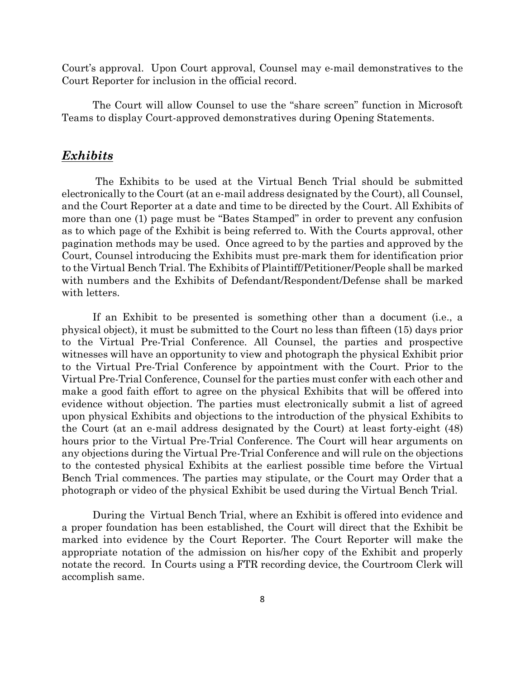Court's approval. Upon Court approval, Counsel may e-mail demonstratives to the Court Reporter for inclusion in the official record.

The Court will allow Counsel to use the "share screen" function in Microsoft Teams to display Court-approved demonstratives during Opening Statements.

#### *Exhibits*

The Exhibits to be used at the Virtual Bench Trial should be submitted electronically to the Court (at an e-mail address designated by the Court), all Counsel, and the Court Reporter at a date and time to be directed by the Court. All Exhibits of more than one (1) page must be "Bates Stamped" in order to prevent any confusion as to which page of the Exhibit is being referred to. With the Courts approval, other pagination methods may be used. Once agreed to by the parties and approved by the Court, Counsel introducing the Exhibits must pre-mark them for identification prior to the Virtual Bench Trial. The Exhibits of Plaintiff/Petitioner/People shall be marked with numbers and the Exhibits of Defendant/Respondent/Defense shall be marked with letters.

If an Exhibit to be presented is something other than a document (i.e., a physical object), it must be submitted to the Court no less than fifteen (15) days prior to the Virtual Pre-Trial Conference. All Counsel, the parties and prospective witnesses will have an opportunity to view and photograph the physical Exhibit prior to the Virtual Pre-Trial Conference by appointment with the Court. Prior to the Virtual Pre-Trial Conference, Counsel for the parties must confer with each other and make a good faith effort to agree on the physical Exhibits that will be offered into evidence without objection. The parties must electronically submit a list of agreed upon physical Exhibits and objections to the introduction of the physical Exhibits to the Court (at an e-mail address designated by the Court) at least forty-eight (48) hours prior to the Virtual Pre-Trial Conference. The Court will hear arguments on any objections during the Virtual Pre-Trial Conference and will rule on the objections to the contested physical Exhibits at the earliest possible time before the Virtual Bench Trial commences. The parties may stipulate, or the Court may Order that a photograph or video of the physical Exhibit be used during the Virtual Bench Trial.

During the Virtual Bench Trial, where an Exhibit is offered into evidence and a proper foundation has been established, the Court will direct that the Exhibit be marked into evidence by the Court Reporter. The Court Reporter will make the appropriate notation of the admission on his/her copy of the Exhibit and properly notate the record. In Courts using a FTR recording device, the Courtroom Clerk will accomplish same.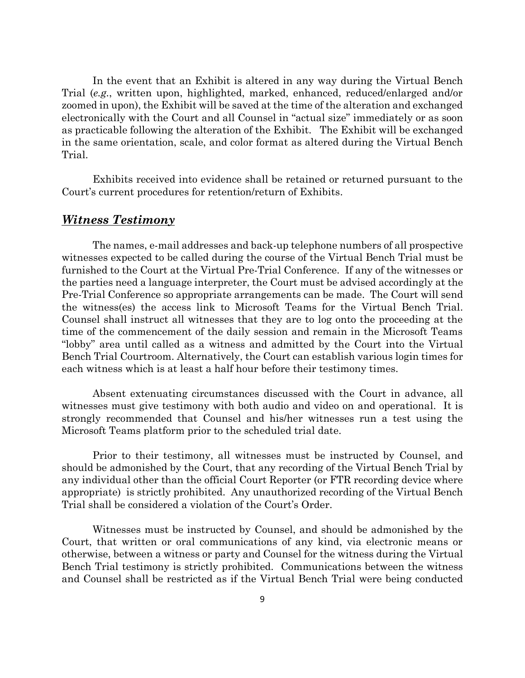In the event that an Exhibit is altered in any way during the Virtual Bench Trial (*e.g.*, written upon, highlighted, marked, enhanced, reduced/enlarged and/or zoomed in upon), the Exhibit will be saved at the time of the alteration and exchanged electronically with the Court and all Counsel in "actual size" immediately or as soon as practicable following the alteration of the Exhibit. The Exhibit will be exchanged in the same orientation, scale, and color format as altered during the Virtual Bench Trial.

Exhibits received into evidence shall be retained or returned pursuant to the Court's current procedures for retention/return of Exhibits.

#### *Witness Testimony*

The names, e-mail addresses and back-up telephone numbers of all prospective witnesses expected to be called during the course of the Virtual Bench Trial must be furnished to the Court at the Virtual Pre-Trial Conference. If any of the witnesses or the parties need a language interpreter, the Court must be advised accordingly at the Pre-Trial Conference so appropriate arrangements can be made. The Court will send the witness(es) the access link to Microsoft Teams for the Virtual Bench Trial. Counsel shall instruct all witnesses that they are to log onto the proceeding at the time of the commencement of the daily session and remain in the Microsoft Teams "lobby" area until called as a witness and admitted by the Court into the Virtual Bench Trial Courtroom. Alternatively, the Court can establish various login times for each witness which is at least a half hour before their testimony times.

Absent extenuating circumstances discussed with the Court in advance, all witnesses must give testimony with both audio and video on and operational. It is strongly recommended that Counsel and his/her witnesses run a test using the Microsoft Teams platform prior to the scheduled trial date.

Prior to their testimony, all witnesses must be instructed by Counsel, and should be admonished by the Court, that any recording of the Virtual Bench Trial by any individual other than the official Court Reporter (or FTR recording device where appropriate) is strictly prohibited. Any unauthorized recording of the Virtual Bench Trial shall be considered a violation of the Court's Order.

Witnesses must be instructed by Counsel, and should be admonished by the Court, that written or oral communications of any kind, via electronic means or otherwise, between a witness or party and Counsel for the witness during the Virtual Bench Trial testimony is strictly prohibited. Communications between the witness and Counsel shall be restricted as if the Virtual Bench Trial were being conducted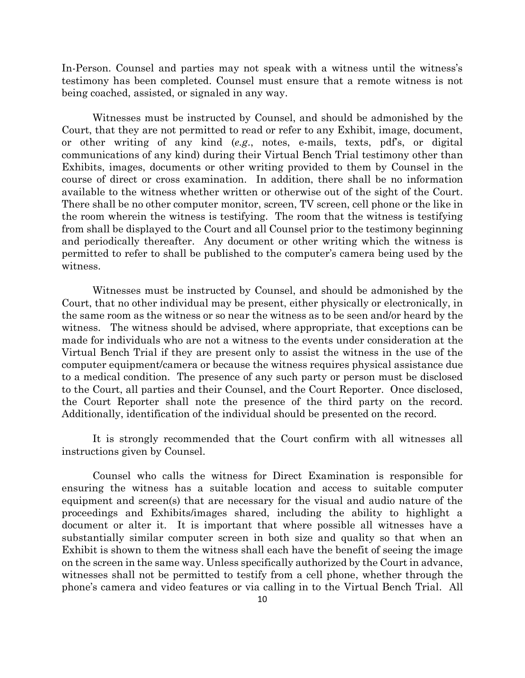In-Person. Counsel and parties may not speak with a witness until the witness's testimony has been completed. Counsel must ensure that a remote witness is not being coached, assisted, or signaled in any way.

Witnesses must be instructed by Counsel, and should be admonished by the Court, that they are not permitted to read or refer to any Exhibit, image, document, or other writing of any kind (*e.g*., notes, e-mails, texts, pdf's, or digital communications of any kind) during their Virtual Bench Trial testimony other than Exhibits, images, documents or other writing provided to them by Counsel in the course of direct or cross examination. In addition, there shall be no information available to the witness whether written or otherwise out of the sight of the Court. There shall be no other computer monitor, screen, TV screen, cell phone or the like in the room wherein the witness is testifying. The room that the witness is testifying from shall be displayed to the Court and all Counsel prior to the testimony beginning and periodically thereafter. Any document or other writing which the witness is permitted to refer to shall be published to the computer's camera being used by the witness.

Witnesses must be instructed by Counsel, and should be admonished by the Court, that no other individual may be present, either physically or electronically, in the same room as the witness or so near the witness as to be seen and/or heard by the witness. The witness should be advised, where appropriate, that exceptions can be made for individuals who are not a witness to the events under consideration at the Virtual Bench Trial if they are present only to assist the witness in the use of the computer equipment/camera or because the witness requires physical assistance due to a medical condition. The presence of any such party or person must be disclosed to the Court, all parties and their Counsel, and the Court Reporter. Once disclosed, the Court Reporter shall note the presence of the third party on the record. Additionally, identification of the individual should be presented on the record.

It is strongly recommended that the Court confirm with all witnesses all instructions given by Counsel.

Counsel who calls the witness for Direct Examination is responsible for ensuring the witness has a suitable location and access to suitable computer equipment and screen(s) that are necessary for the visual and audio nature of the proceedings and Exhibits/images shared, including the ability to highlight a document or alter it. It is important that where possible all witnesses have a substantially similar computer screen in both size and quality so that when an Exhibit is shown to them the witness shall each have the benefit of seeing the image on the screen in the same way. Unless specifically authorized by the Court in advance, witnesses shall not be permitted to testify from a cell phone, whether through the phone's camera and video features or via calling in to the Virtual Bench Trial. All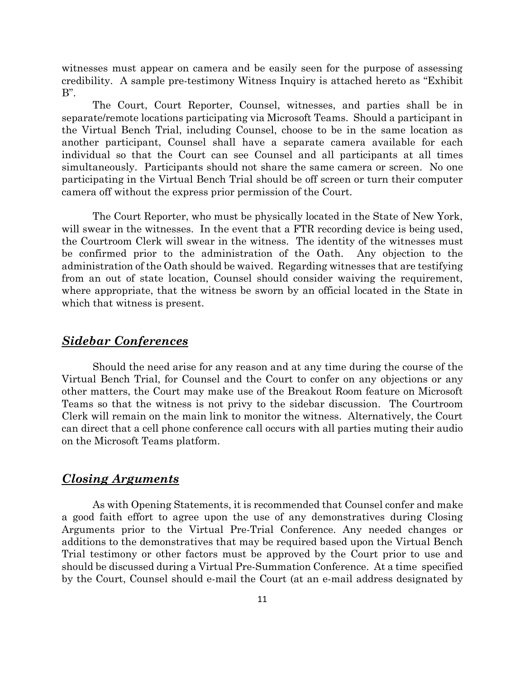witnesses must appear on camera and be easily seen for the purpose of assessing credibility. A sample pre-testimony Witness Inquiry is attached hereto as "Exhibit B".

The Court, Court Reporter, Counsel, witnesses, and parties shall be in separate/remote locations participating via Microsoft Teams. Should a participant in the Virtual Bench Trial, including Counsel, choose to be in the same location as another participant, Counsel shall have a separate camera available for each individual so that the Court can see Counsel and all participants at all times simultaneously. Participants should not share the same camera or screen. No one participating in the Virtual Bench Trial should be off screen or turn their computer camera off without the express prior permission of the Court.

The Court Reporter, who must be physically located in the State of New York, will swear in the witnesses. In the event that a FTR recording device is being used, the Courtroom Clerk will swear in the witness. The identity of the witnesses must be confirmed prior to the administration of the Oath. Any objection to the administration of the Oath should be waived. Regarding witnesses that are testifying from an out of state location, Counsel should consider waiving the requirement, where appropriate, that the witness be sworn by an official located in the State in which that witness is present.

#### *Sidebar Conferences*

Should the need arise for any reason and at any time during the course of the Virtual Bench Trial, for Counsel and the Court to confer on any objections or any other matters, the Court may make use of the Breakout Room feature on Microsoft Teams so that the witness is not privy to the sidebar discussion. The Courtroom Clerk will remain on the main link to monitor the witness. Alternatively, the Court can direct that a cell phone conference call occurs with all parties muting their audio on the Microsoft Teams platform.

#### *Closing Arguments*

As with Opening Statements, it is recommended that Counsel confer and make a good faith effort to agree upon the use of any demonstratives during Closing Arguments prior to the Virtual Pre-Trial Conference. Any needed changes or additions to the demonstratives that may be required based upon the Virtual Bench Trial testimony or other factors must be approved by the Court prior to use and should be discussed during a Virtual Pre-Summation Conference. At a time specified by the Court, Counsel should e-mail the Court (at an e-mail address designated by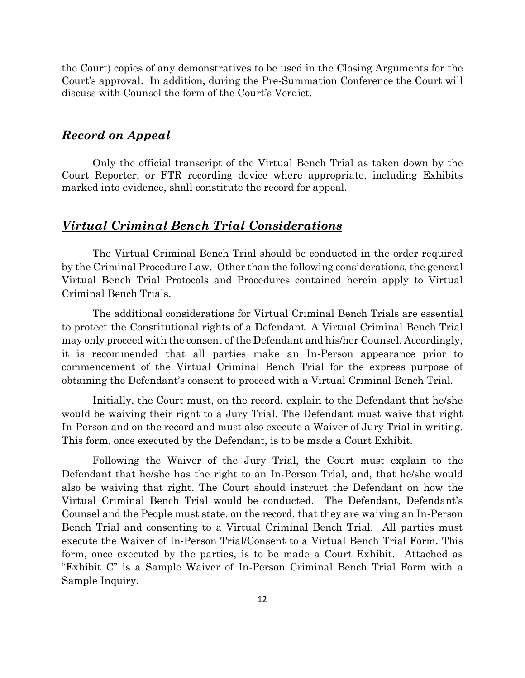the Court) copies of any demonstratives to be used in the Closing Arguments for the Court's approval. In addition, during the Pre-Summation Conference the Court will discuss with Counsel the form of the Court's Verdict.

#### *Record on Appeal*

Only the official transcript of the Virtual Bench Trial as taken down by the Court Reporter, or FTR recording device where appropriate, including Exhibits marked into evidence, shall constitute the record for appeal.

#### *Virtual Criminal Bench Trial Considerations*

The Virtual Criminal Bench Trial should be conducted in the order required by the Criminal Procedure Law. Other than the following considerations, the general Virtual Bench Trial Protocols and Procedures contained herein apply to Virtual Criminal Bench Trials.

The additional considerations for Virtual Criminal Bench Trials are essential to protect the Constitutional rights of a Defendant. A Virtual Criminal Bench Trial may only proceed with the consent of the Defendant and his/her Counsel. Accordingly, it is recommended that all parties make an In-Person appearance prior to commencement of the Virtual Criminal Bench Trial for the express purpose of obtaining the Defendant's consent to proceed with a Virtual Criminal Bench Trial.

Initially, the Court must, on the record, explain to the Defendant that he/she would be waiving their right to a Jury Trial. The Defendant must waive that right In-Person and on the record and must also execute a Waiver of Jury Trial in writing. This form, once executed by the Defendant, is to be made a Court Exhibit.

Following the Waiver of the Jury Trial, the Court must explain to the Defendant that he/she has the right to an In-Person Trial, and, that he/she would also be waiving that right. The Court should instruct the Defendant on how the Virtual Criminal Bench Trial would be conducted. The Defendant, Defendant's Counsel and the People must state, on the record, that they are waiving an In-Person Bench Trial and consenting to a Virtual Criminal Bench Trial. All parties must execute the Waiver of In-Person Trial/Consent to a Virtual Bench Trial Form. This form, once executed by the parties, is to be made a Court Exhibit. Attached as "Exhibit C" is a Sample Waiver of In-Person Criminal Bench Trial Form with a Sample Inquiry.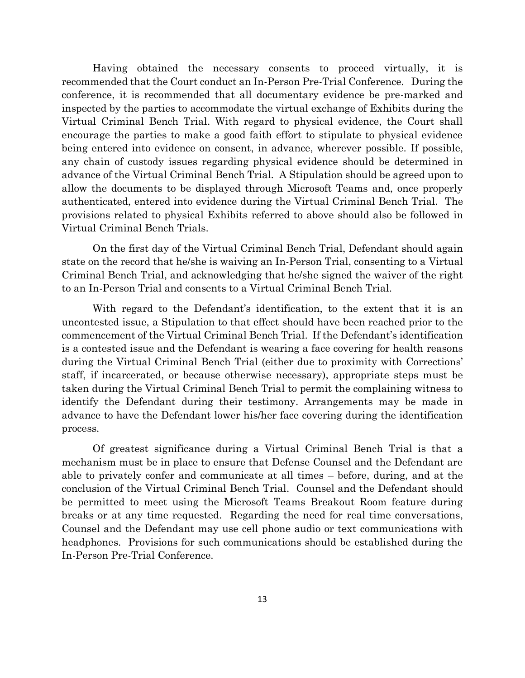Having obtained the necessary consents to proceed virtually, it is recommended that the Court conduct an In-Person Pre-Trial Conference. During the conference, it is recommended that all documentary evidence be pre-marked and inspected by the parties to accommodate the virtual exchange of Exhibits during the Virtual Criminal Bench Trial. With regard to physical evidence, the Court shall encourage the parties to make a good faith effort to stipulate to physical evidence being entered into evidence on consent, in advance, wherever possible. If possible, any chain of custody issues regarding physical evidence should be determined in advance of the Virtual Criminal Bench Trial. A Stipulation should be agreed upon to allow the documents to be displayed through Microsoft Teams and, once properly authenticated, entered into evidence during the Virtual Criminal Bench Trial. The provisions related to physical Exhibits referred to above should also be followed in Virtual Criminal Bench Trials.

On the first day of the Virtual Criminal Bench Trial, Defendant should again state on the record that he/she is waiving an In-Person Trial, consenting to a Virtual Criminal Bench Trial, and acknowledging that he/she signed the waiver of the right to an In-Person Trial and consents to a Virtual Criminal Bench Trial.

With regard to the Defendant's identification, to the extent that it is an uncontested issue, a Stipulation to that effect should have been reached prior to the commencement of the Virtual Criminal Bench Trial. If the Defendant's identification is a contested issue and the Defendant is wearing a face covering for health reasons during the Virtual Criminal Bench Trial (either due to proximity with Corrections' staff, if incarcerated, or because otherwise necessary), appropriate steps must be taken during the Virtual Criminal Bench Trial to permit the complaining witness to identify the Defendant during their testimony. Arrangements may be made in advance to have the Defendant lower his/her face covering during the identification process.

Of greatest significance during a Virtual Criminal Bench Trial is that a mechanism must be in place to ensure that Defense Counsel and the Defendant are able to privately confer and communicate at all times – before, during, and at the conclusion of the Virtual Criminal Bench Trial. Counsel and the Defendant should be permitted to meet using the Microsoft Teams Breakout Room feature during breaks or at any time requested. Regarding the need for real time conversations, Counsel and the Defendant may use cell phone audio or text communications with headphones. Provisions for such communications should be established during the In-Person Pre-Trial Conference.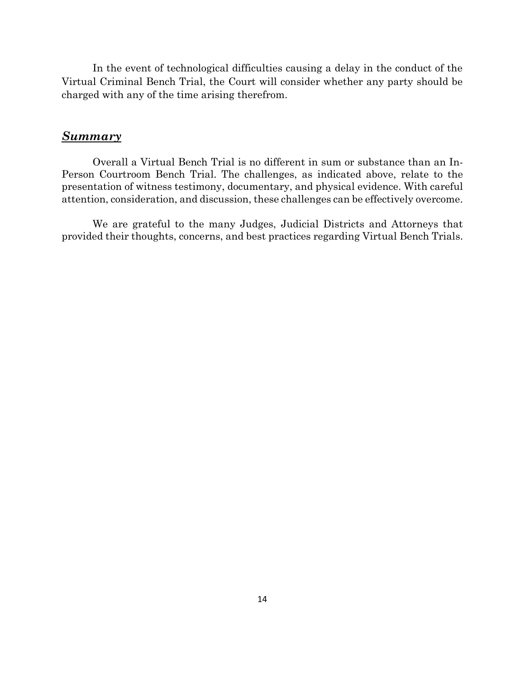In the event of technological difficulties causing a delay in the conduct of the Virtual Criminal Bench Trial, the Court will consider whether any party should be charged with any of the time arising therefrom.

#### *Summary*

Overall a Virtual Bench Trial is no different in sum or substance than an In-Person Courtroom Bench Trial. The challenges, as indicated above, relate to the presentation of witness testimony, documentary, and physical evidence. With careful attention, consideration, and discussion, these challenges can be effectively overcome.

We are grateful to the many Judges, Judicial Districts and Attorneys that provided their thoughts, concerns, and best practices regarding Virtual Bench Trials.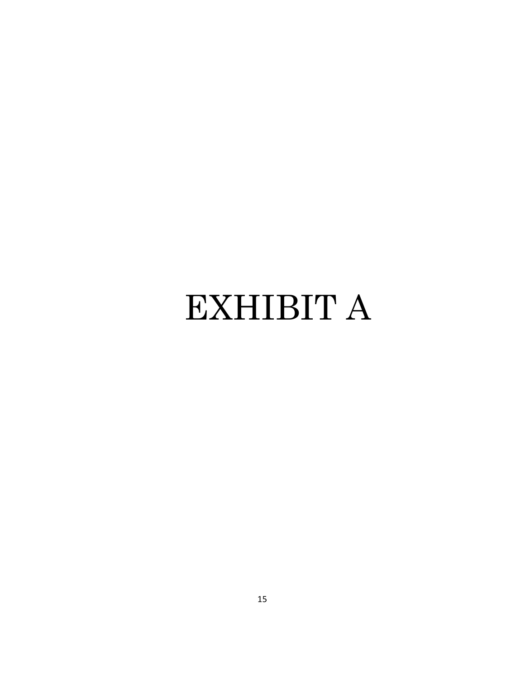## EXHIBIT A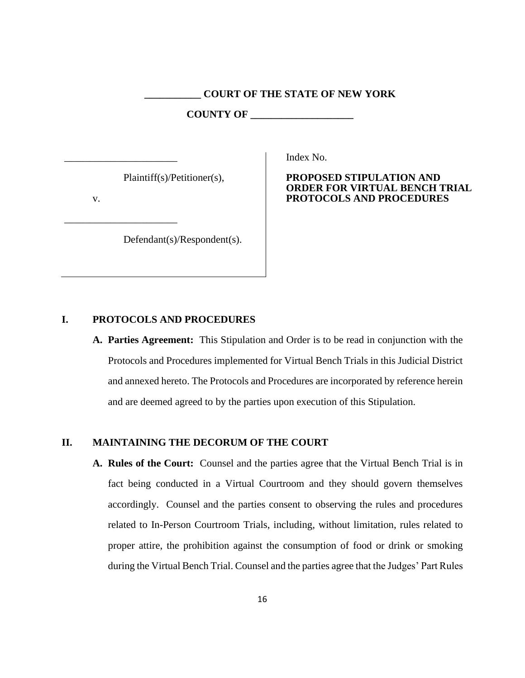#### **\_\_\_\_\_\_\_\_\_\_\_ COURT OF THE STATE OF NEW YORK**

**COUNTY OF \_\_\_\_\_\_\_\_\_\_\_\_\_\_\_\_\_\_\_\_**

Plaintiff(s)/Petitioner(s),

v.

\_\_\_\_\_\_\_\_\_\_\_\_\_\_\_\_\_\_\_\_\_\_

\_\_\_\_\_\_\_\_\_\_\_\_\_\_\_\_\_\_\_\_\_\_

Defendant(s)/Respondent(s).

Index No.

#### **PROPOSED STIPULATION AND ORDER FOR VIRTUAL BENCH TRIAL PROTOCOLS AND PROCEDURES**

#### **I. PROTOCOLS AND PROCEDURES**

**A. Parties Agreement:** This Stipulation and Order is to be read in conjunction with the Protocols and Procedures implemented for Virtual Bench Trials in this Judicial District and annexed hereto. The Protocols and Procedures are incorporated by reference herein and are deemed agreed to by the parties upon execution of this Stipulation.

#### **II. MAINTAINING THE DECORUM OF THE COURT**

**A. Rules of the Court:** Counsel and the parties agree that the Virtual Bench Trial is in fact being conducted in a Virtual Courtroom and they should govern themselves accordingly. Counsel and the parties consent to observing the rules and procedures related to In-Person Courtroom Trials, including, without limitation, rules related to proper attire, the prohibition against the consumption of food or drink or smoking during the Virtual Bench Trial. Counsel and the parties agree that the Judges' Part Rules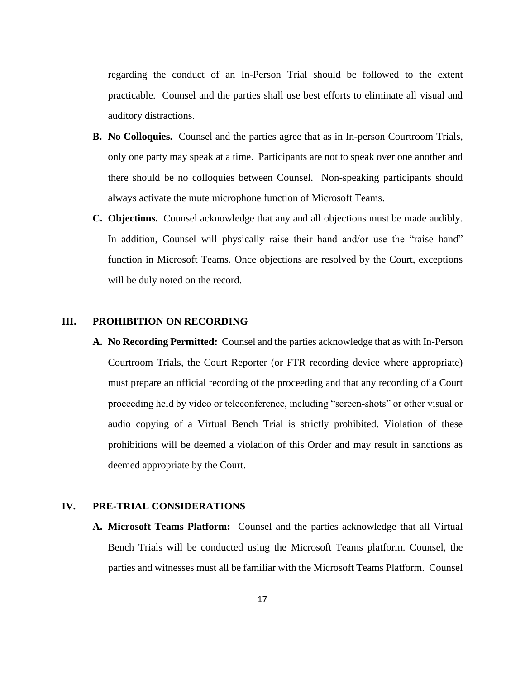regarding the conduct of an In-Person Trial should be followed to the extent practicable. Counsel and the parties shall use best efforts to eliminate all visual and auditory distractions.

- **B. No Colloquies.** Counsel and the parties agree that as in In-person Courtroom Trials, only one party may speak at a time. Participants are not to speak over one another and there should be no colloquies between Counsel. Non-speaking participants should always activate the mute microphone function of Microsoft Teams.
- **C. Objections.** Counsel acknowledge that any and all objections must be made audibly. In addition, Counsel will physically raise their hand and/or use the "raise hand" function in Microsoft Teams. Once objections are resolved by the Court, exceptions will be duly noted on the record.

#### **III. PROHIBITION ON RECORDING**

**A. No Recording Permitted:** Counsel and the parties acknowledge that as with In-Person Courtroom Trials, the Court Reporter (or FTR recording device where appropriate) must prepare an official recording of the proceeding and that any recording of a Court proceeding held by video or teleconference, including "screen-shots" or other visual or audio copying of a Virtual Bench Trial is strictly prohibited. Violation of these prohibitions will be deemed a violation of this Order and may result in sanctions as deemed appropriate by the Court.

#### **IV. PRE-TRIAL CONSIDERATIONS**

**A. Microsoft Teams Platform:** Counsel and the parties acknowledge that all Virtual Bench Trials will be conducted using the Microsoft Teams platform. Counsel, the parties and witnesses must all be familiar with the Microsoft Teams Platform. Counsel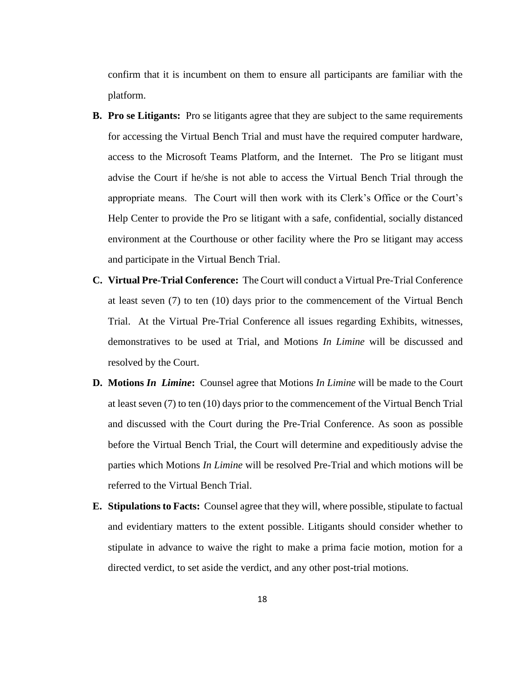confirm that it is incumbent on them to ensure all participants are familiar with the platform.

- **B. Pro se Litigants:** Pro se litigants agree that they are subject to the same requirements for accessing the Virtual Bench Trial and must have the required computer hardware, access to the Microsoft Teams Platform, and the Internet. The Pro se litigant must advise the Court if he/she is not able to access the Virtual Bench Trial through the appropriate means. The Court will then work with its Clerk's Office or the Court's Help Center to provide the Pro se litigant with a safe, confidential, socially distanced environment at the Courthouse or other facility where the Pro se litigant may access and participate in the Virtual Bench Trial.
- **C. Virtual Pre-Trial Conference:** The Court will conduct a Virtual Pre-Trial Conference at least seven (7) to ten (10) days prior to the commencement of the Virtual Bench Trial. At the Virtual Pre-Trial Conference all issues regarding Exhibits, witnesses, demonstratives to be used at Trial, and Motions *In Limine* will be discussed and resolved by the Court.
- **D. Motions** *In Limine***:**Counsel agree that Motions *In Limine* will be made to the Court at least seven (7) to ten (10) days prior to the commencement of the Virtual Bench Trial and discussed with the Court during the Pre-Trial Conference. As soon as possible before the Virtual Bench Trial, the Court will determine and expeditiously advise the parties which Motions *In Limine* will be resolved Pre-Trial and which motions will be referred to the Virtual Bench Trial.
- **E. Stipulations to Facts:** Counsel agree that they will, where possible, stipulate to factual and evidentiary matters to the extent possible. Litigants should consider whether to stipulate in advance to waive the right to make a prima facie motion, motion for a directed verdict, to set aside the verdict, and any other post-trial motions.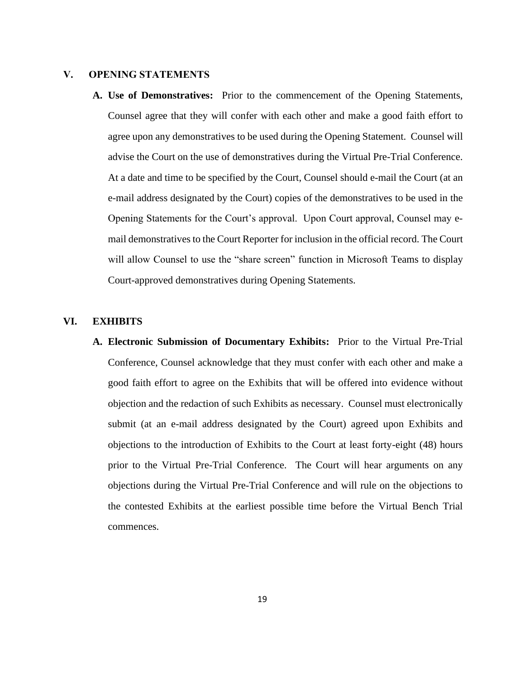#### **V. OPENING STATEMENTS**

**A. Use of Demonstratives:** Prior to the commencement of the Opening Statements, Counsel agree that they will confer with each other and make a good faith effort to agree upon any demonstratives to be used during the Opening Statement. Counsel will advise the Court on the use of demonstratives during the Virtual Pre-Trial Conference. At a date and time to be specified by the Court, Counsel should e-mail the Court (at an e-mail address designated by the Court) copies of the demonstratives to be used in the Opening Statements for the Court's approval. Upon Court approval, Counsel may email demonstratives to the Court Reporter for inclusion in the official record. The Court will allow Counsel to use the "share screen" function in Microsoft Teams to display Court-approved demonstratives during Opening Statements.

#### **VI. EXHIBITS**

**A. Electronic Submission of Documentary Exhibits:** Prior to the Virtual Pre-Trial Conference, Counsel acknowledge that they must confer with each other and make a good faith effort to agree on the Exhibits that will be offered into evidence without objection and the redaction of such Exhibits as necessary. Counsel must electronically submit (at an e-mail address designated by the Court) agreed upon Exhibits and objections to the introduction of Exhibits to the Court at least forty-eight (48) hours prior to the Virtual Pre-Trial Conference. The Court will hear arguments on any objections during the Virtual Pre-Trial Conference and will rule on the objections to the contested Exhibits at the earliest possible time before the Virtual Bench Trial commences.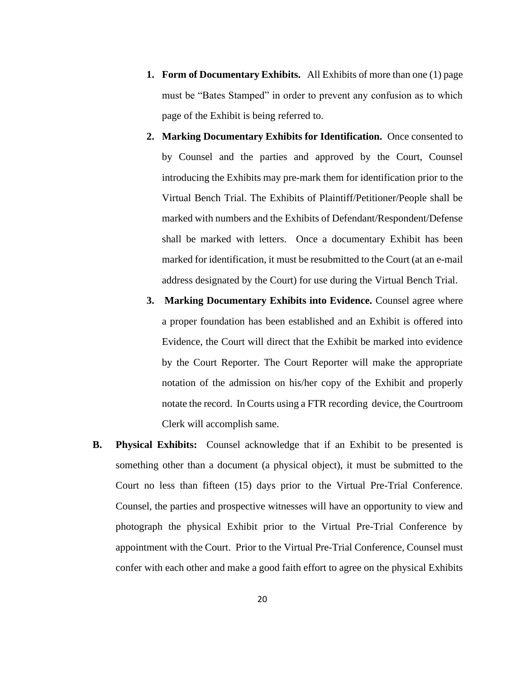- **1. Form of Documentary Exhibits.** All Exhibits of more than one (1) page must be "Bates Stamped" in order to prevent any confusion as to which page of the Exhibit is being referred to.
- **2. Marking Documentary Exhibits for Identification.** Once consented to by Counsel and the parties and approved by the Court, Counsel introducing the Exhibits may pre-mark them for identification prior to the Virtual Bench Trial. The Exhibits of Plaintiff/Petitioner/People shall be marked with numbers and the Exhibits of Defendant/Respondent/Defense shall be marked with letters. Once a documentary Exhibit has been marked for identification, it must be resubmitted to the Court (at an e-mail address designated by the Court) for use during the Virtual Bench Trial.
- **3. Marking Documentary Exhibits into Evidence.** Counsel agree where a proper foundation has been established and an Exhibit is offered into Evidence, the Court will direct that the Exhibit be marked into evidence by the Court Reporter. The Court Reporter will make the appropriate notation of the admission on his/her copy of the Exhibit and properly notate the record. In Courts using a FTR recording device, the Courtroom Clerk will accomplish same.
- **B. Physical Exhibits:** Counsel acknowledge that if an Exhibit to be presented is something other than a document (a physical object), it must be submitted to the Court no less than fifteen (15) days prior to the Virtual Pre-Trial Conference. Counsel, the parties and prospective witnesses will have an opportunity to view and photograph the physical Exhibit prior to the Virtual Pre-Trial Conference by appointment with the Court. Prior to the Virtual Pre-Trial Conference, Counsel must confer with each other and make a good faith effort to agree on the physical Exhibits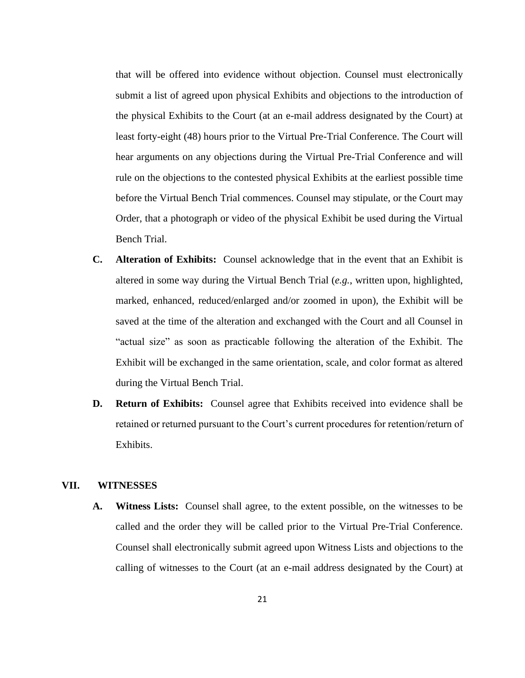that will be offered into evidence without objection. Counsel must electronically submit a list of agreed upon physical Exhibits and objections to the introduction of the physical Exhibits to the Court (at an e-mail address designated by the Court) at least forty-eight (48) hours prior to the Virtual Pre-Trial Conference. The Court will hear arguments on any objections during the Virtual Pre-Trial Conference and will rule on the objections to the contested physical Exhibits at the earliest possible time before the Virtual Bench Trial commences. Counsel may stipulate, or the Court may Order, that a photograph or video of the physical Exhibit be used during the Virtual Bench Trial.

- **C. Alteration of Exhibits:** Counsel acknowledge that in the event that an Exhibit is altered in some way during the Virtual Bench Trial (*e.g.*, written upon, highlighted, marked, enhanced, reduced/enlarged and/or zoomed in upon), the Exhibit will be saved at the time of the alteration and exchanged with the Court and all Counsel in "actual size" as soon as practicable following the alteration of the Exhibit. The Exhibit will be exchanged in the same orientation, scale, and color format as altered during the Virtual Bench Trial.
- **D. Return of Exhibits:** Counsel agree that Exhibits received into evidence shall be retained or returned pursuant to the Court's current procedures for retention/return of Exhibits.

#### **VII. WITNESSES**

**A. Witness Lists:** Counsel shall agree, to the extent possible, on the witnesses to be called and the order they will be called prior to the Virtual Pre-Trial Conference. Counsel shall electronically submit agreed upon Witness Lists and objections to the calling of witnesses to the Court (at an e-mail address designated by the Court) at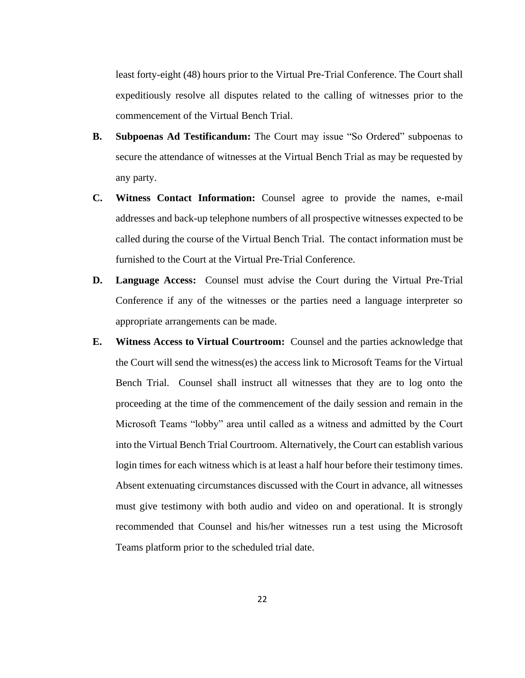least forty-eight (48) hours prior to the Virtual Pre-Trial Conference. The Court shall expeditiously resolve all disputes related to the calling of witnesses prior to the commencement of the Virtual Bench Trial.

- **B. Subpoenas Ad Testificandum:** The Court may issue "So Ordered" subpoenas to secure the attendance of witnesses at the Virtual Bench Trial as may be requested by any party.
- **C. Witness Contact Information:** Counsel agree to provide the names, e-mail addresses and back-up telephone numbers of all prospective witnesses expected to be called during the course of the Virtual Bench Trial. The contact information must be furnished to the Court at the Virtual Pre-Trial Conference.
- **D. Language Access:** Counsel must advise the Court during the Virtual Pre-Trial Conference if any of the witnesses or the parties need a language interpreter so appropriate arrangements can be made.
- **E. Witness Access to Virtual Courtroom:** Counsel and the parties acknowledge that the Court will send the witness(es) the access link to Microsoft Teams for the Virtual Bench Trial. Counsel shall instruct all witnesses that they are to log onto the proceeding at the time of the commencement of the daily session and remain in the Microsoft Teams "lobby" area until called as a witness and admitted by the Court into the Virtual Bench Trial Courtroom. Alternatively, the Court can establish various login times for each witness which is at least a half hour before their testimony times. Absent extenuating circumstances discussed with the Court in advance, all witnesses must give testimony with both audio and video on and operational. It is strongly recommended that Counsel and his/her witnesses run a test using the Microsoft Teams platform prior to the scheduled trial date.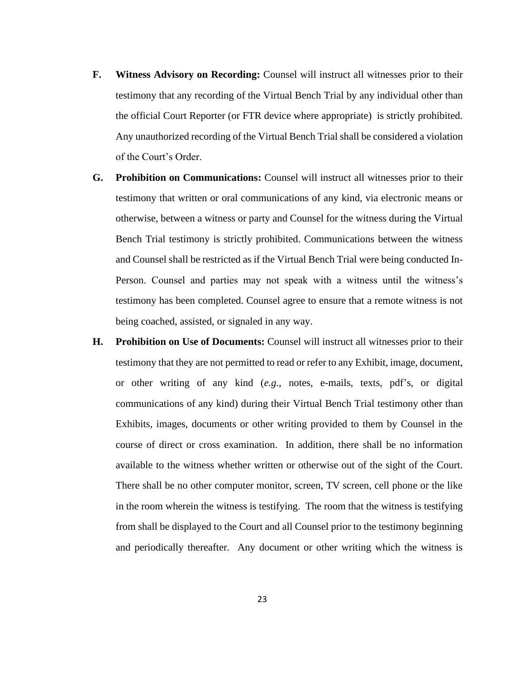- **F. Witness Advisory on Recording:** Counsel will instruct all witnesses prior to their testimony that any recording of the Virtual Bench Trial by any individual other than the official Court Reporter (or FTR device where appropriate) is strictly prohibited. Any unauthorized recording of the Virtual Bench Trial shall be considered a violation of the Court's Order.
- **G. Prohibition on Communications:** Counsel will instruct all witnesses prior to their testimony that written or oral communications of any kind, via electronic means or otherwise, between a witness or party and Counsel for the witness during the Virtual Bench Trial testimony is strictly prohibited. Communications between the witness and Counsel shall be restricted as if the Virtual Bench Trial were being conducted In-Person. Counsel and parties may not speak with a witness until the witness's testimony has been completed. Counsel agree to ensure that a remote witness is not being coached, assisted, or signaled in any way.
- **H. Prohibition on Use of Documents:** Counsel will instruct all witnesses prior to their testimony that they are not permitted to read or refer to any Exhibit, image, document, or other writing of any kind (*e.g.*, notes, e-mails, texts, pdf's, or digital communications of any kind) during their Virtual Bench Trial testimony other than Exhibits, images, documents or other writing provided to them by Counsel in the course of direct or cross examination. In addition, there shall be no information available to the witness whether written or otherwise out of the sight of the Court. There shall be no other computer monitor, screen, TV screen, cell phone or the like in the room wherein the witness is testifying. The room that the witness is testifying from shall be displayed to the Court and all Counsel prior to the testimony beginning and periodically thereafter. Any document or other writing which the witness is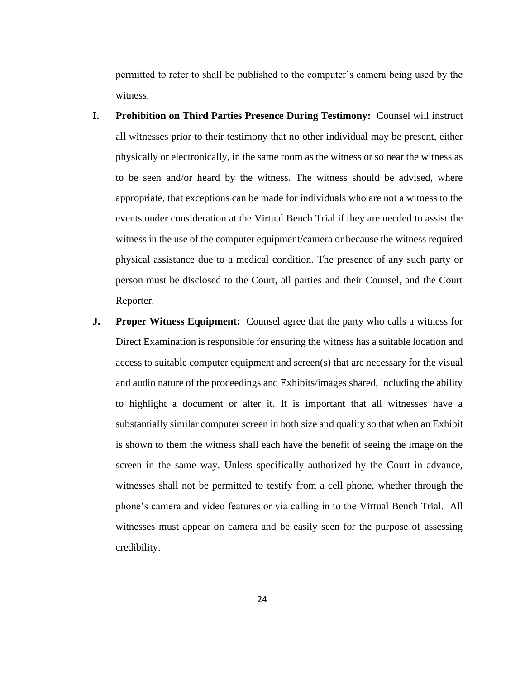permitted to refer to shall be published to the computer's camera being used by the witness.

- **I. Prohibition on Third Parties Presence During Testimony:** Counsel will instruct all witnesses prior to their testimony that no other individual may be present, either physically or electronically, in the same room as the witness or so near the witness as to be seen and/or heard by the witness. The witness should be advised, where appropriate, that exceptions can be made for individuals who are not a witness to the events under consideration at the Virtual Bench Trial if they are needed to assist the witness in the use of the computer equipment/camera or because the witness required physical assistance due to a medical condition. The presence of any such party or person must be disclosed to the Court, all parties and their Counsel, and the Court Reporter.
- **J. Proper Witness Equipment:** Counsel agree that the party who calls a witness for Direct Examination is responsible for ensuring the witness has a suitable location and access to suitable computer equipment and screen(s) that are necessary for the visual and audio nature of the proceedings and Exhibits/images shared, including the ability to highlight a document or alter it. It is important that all witnesses have a substantially similar computer screen in both size and quality so that when an Exhibit is shown to them the witness shall each have the benefit of seeing the image on the screen in the same way. Unless specifically authorized by the Court in advance, witnesses shall not be permitted to testify from a cell phone, whether through the phone's camera and video features or via calling in to the Virtual Bench Trial. All witnesses must appear on camera and be easily seen for the purpose of assessing credibility.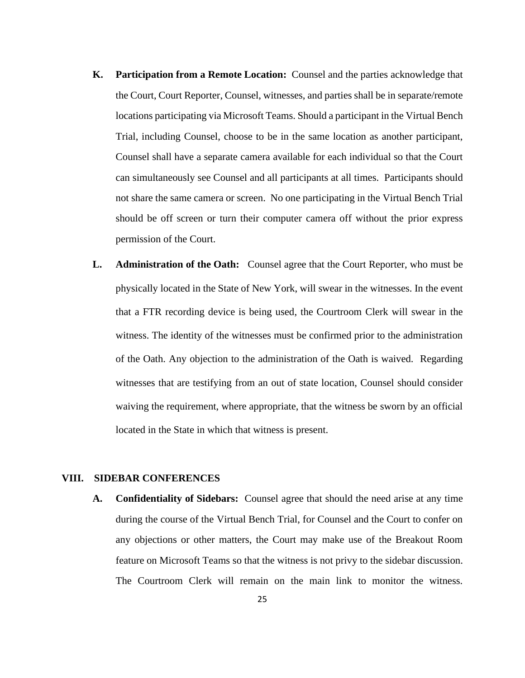- **K. Participation from a Remote Location:** Counsel and the parties acknowledge that the Court, Court Reporter, Counsel, witnesses, and parties shall be in separate/remote locations participating via Microsoft Teams. Should a participant in the Virtual Bench Trial, including Counsel, choose to be in the same location as another participant, Counsel shall have a separate camera available for each individual so that the Court can simultaneously see Counsel and all participants at all times. Participants should not share the same camera or screen. No one participating in the Virtual Bench Trial should be off screen or turn their computer camera off without the prior express permission of the Court.
- **L. Administration of the Oath:** Counsel agree that the Court Reporter, who must be physically located in the State of New York, will swear in the witnesses. In the event that a FTR recording device is being used, the Courtroom Clerk will swear in the witness. The identity of the witnesses must be confirmed prior to the administration of the Oath. Any objection to the administration of the Oath is waived. Regarding witnesses that are testifying from an out of state location, Counsel should consider waiving the requirement, where appropriate, that the witness be sworn by an official located in the State in which that witness is present.

#### **VIII. SIDEBAR CONFERENCES**

**A. Confidentiality of Sidebars:** Counsel agree that should the need arise at any time during the course of the Virtual Bench Trial, for Counsel and the Court to confer on any objections or other matters, the Court may make use of the Breakout Room feature on Microsoft Teams so that the witness is not privy to the sidebar discussion. The Courtroom Clerk will remain on the main link to monitor the witness.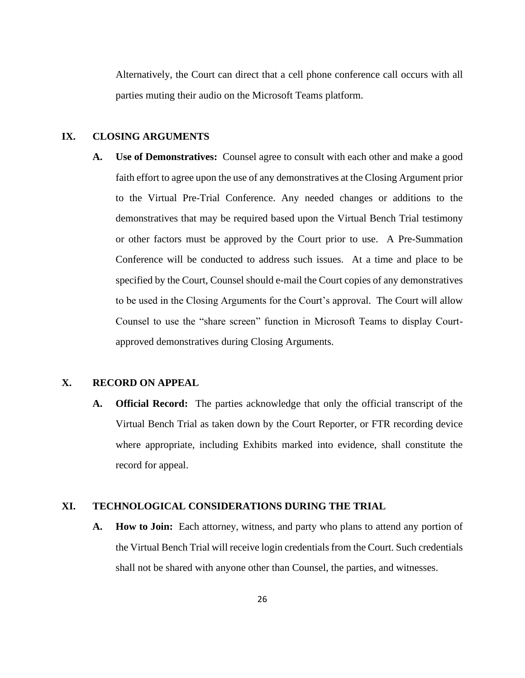Alternatively, the Court can direct that a cell phone conference call occurs with all parties muting their audio on the Microsoft Teams platform.

#### **IX. CLOSING ARGUMENTS**

**A. Use of Demonstratives:** Counsel agree to consult with each other and make a good faith effort to agree upon the use of any demonstratives at the Closing Argument prior to the Virtual Pre-Trial Conference. Any needed changes or additions to the demonstratives that may be required based upon the Virtual Bench Trial testimony or other factors must be approved by the Court prior to use. A Pre-Summation Conference will be conducted to address such issues. At a time and place to be specified by the Court, Counsel should e-mail the Court copies of any demonstratives to be used in the Closing Arguments for the Court's approval. The Court will allow Counsel to use the "share screen" function in Microsoft Teams to display Courtapproved demonstratives during Closing Arguments.

#### **X. RECORD ON APPEAL**

**A. Official Record:** The parties acknowledge that only the official transcript of the Virtual Bench Trial as taken down by the Court Reporter, or FTR recording device where appropriate, including Exhibits marked into evidence, shall constitute the record for appeal.

#### **XI. TECHNOLOGICAL CONSIDERATIONS DURING THE TRIAL**

**A. How to Join:** Each attorney, witness, and party who plans to attend any portion of the Virtual Bench Trial will receive login credentials from the Court. Such credentials shall not be shared with anyone other than Counsel, the parties, and witnesses.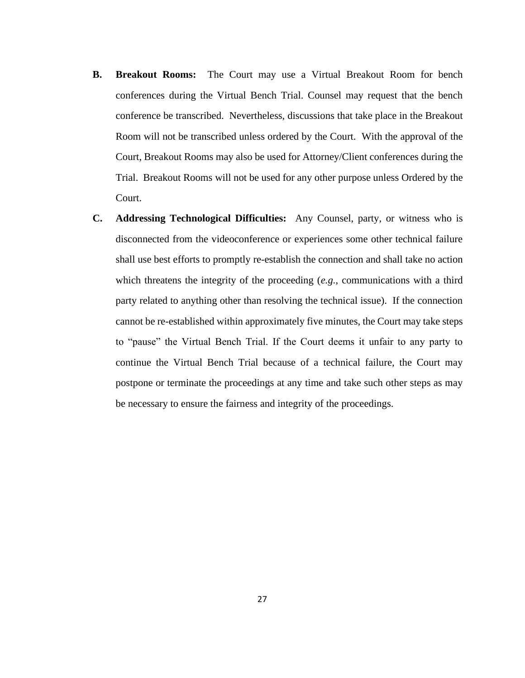- **B. Breakout Rooms:** The Court may use a Virtual Breakout Room for bench conferences during the Virtual Bench Trial. Counsel may request that the bench conference be transcribed. Nevertheless, discussions that take place in the Breakout Room will not be transcribed unless ordered by the Court. With the approval of the Court, Breakout Rooms may also be used for Attorney/Client conferences during the Trial. Breakout Rooms will not be used for any other purpose unless Ordered by the Court.
- **C. Addressing Technological Difficulties:** Any Counsel, party, or witness who is disconnected from the videoconference or experiences some other technical failure shall use best efforts to promptly re-establish the connection and shall take no action which threatens the integrity of the proceeding (*e.g.*, communications with a third party related to anything other than resolving the technical issue). If the connection cannot be re-established within approximately five minutes, the Court may take steps to "pause" the Virtual Bench Trial. If the Court deems it unfair to any party to continue the Virtual Bench Trial because of a technical failure, the Court may postpone or terminate the proceedings at any time and take such other steps as may be necessary to ensure the fairness and integrity of the proceedings.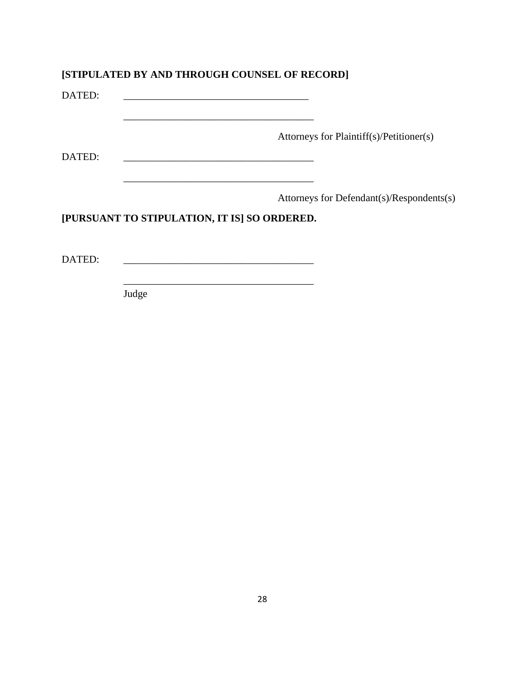#### **[STIPULATED BY AND THROUGH COUNSEL OF RECORD]**

\_\_\_\_\_\_\_\_\_\_\_\_\_\_\_\_\_\_\_\_\_\_\_\_\_\_\_\_\_\_\_\_\_\_\_\_\_

\_\_\_\_\_\_\_\_\_\_\_\_\_\_\_\_\_\_\_\_\_\_\_\_\_\_\_\_\_\_\_\_\_\_\_\_\_

\_\_\_\_\_\_\_\_\_\_\_\_\_\_\_\_\_\_\_\_\_\_\_\_\_\_\_\_\_\_\_\_\_\_\_\_\_

DATED:

Attorneys for Plaintiff(s)/Petitioner(s)

DATED: \_\_\_\_\_\_\_\_\_\_\_\_\_\_\_\_\_\_\_\_\_\_\_\_\_\_\_\_\_\_\_\_\_\_\_\_\_

Attorneys for Defendant(s)/Respondents(s)

#### **[PURSUANT TO STIPULATION, IT IS] SO ORDERED.**

DATED:

Judge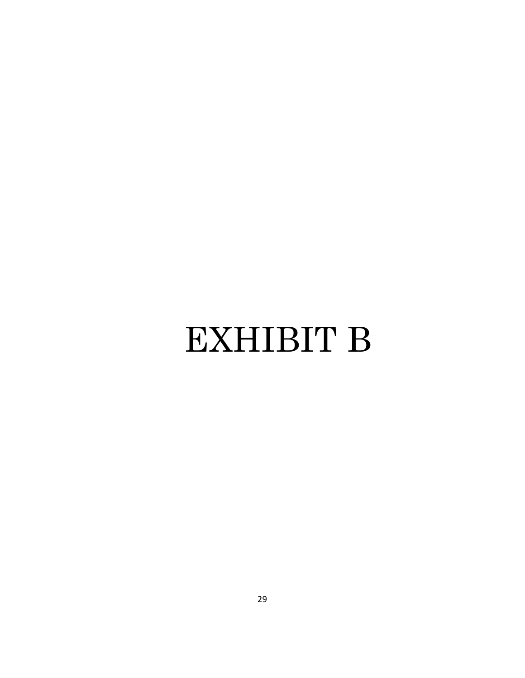## EXHIBIT B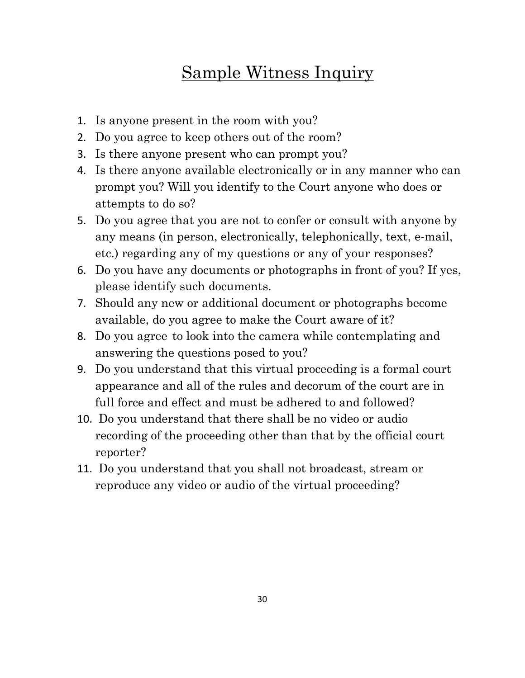## Sample Witness Inquiry

- 1. Is anyone present in the room with you?
- 2. Do you agree to keep others out of the room?
- 3. Is there anyone present who can prompt you?
- 4. Is there anyone available electronically or in any manner who can prompt you? Will you identify to the Court anyone who does or attempts to do so?
- 5. Do you agree that you are not to confer or consult with anyone by any means (in person, electronically, telephonically, text, e-mail, etc.) regarding any of my questions or any of your responses?
- 6. Do you have any documents or photographs in front of you? If yes, please identify such documents.
- 7. Should any new or additional document or photographs become available, do you agree to make the Court aware of it?
- 8. Do you agree to look into the camera while contemplating and answering the questions posed to you?
- 9. Do you understand that this virtual proceeding is a formal court appearance and all of the rules and decorum of the court are in full force and effect and must be adhered to and followed?
- 10. Do you understand that there shall be no video or audio recording of the proceeding other than that by the official court reporter?
- 11. Do you understand that you shall not broadcast, stream or reproduce any video or audio of the virtual proceeding?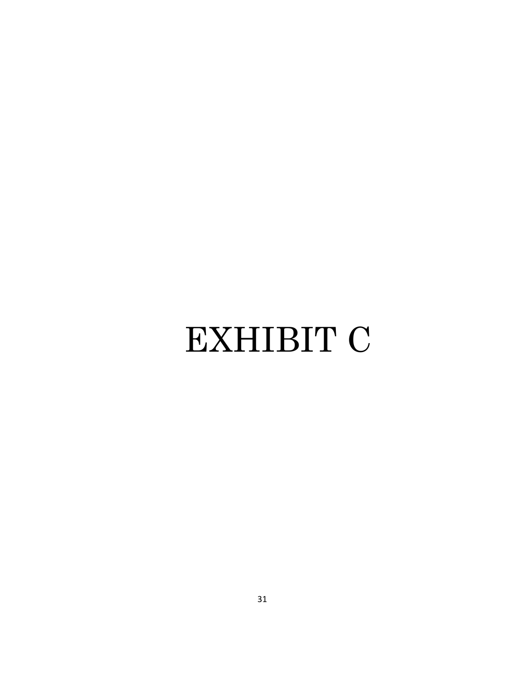# EXHIBIT C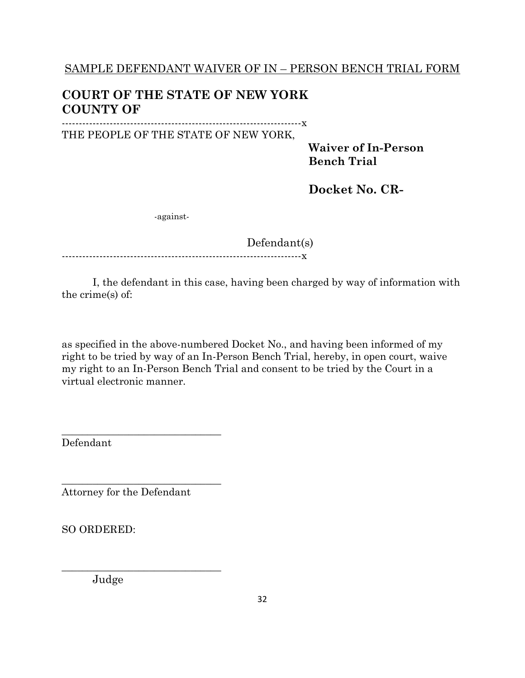### **COURT OF THE STATE OF NEW YORK COUNTY OF**

----------------------------------------------------------------------x THE PEOPLE OF THE STATE OF NEW YORK,

> **Waiver of In-Person Bench Trial**

**Docket No. CR-**

-against-

Defendant(s)

----------------------------------------------------------------------x

I, the defendant in this case, having been charged by way of information with the crime(s) of:

as specified in the above-numbered Docket No., and having been informed of my right to be tried by way of an In-Person Bench Trial, hereby, in open court, waive my right to an In-Person Bench Trial and consent to be tried by the Court in a virtual electronic manner.

Defendant

Attorney for the Defendant

\_\_\_\_\_\_\_\_\_\_\_\_\_\_\_\_\_\_\_\_\_\_\_\_\_\_\_\_\_\_\_

\_\_\_\_\_\_\_\_\_\_\_\_\_\_\_\_\_\_\_\_\_\_\_\_\_\_\_\_\_\_\_

\_\_\_\_\_\_\_\_\_\_\_\_\_\_\_\_\_\_\_\_\_\_\_\_\_\_\_\_\_\_\_

SO ORDERED:

Judge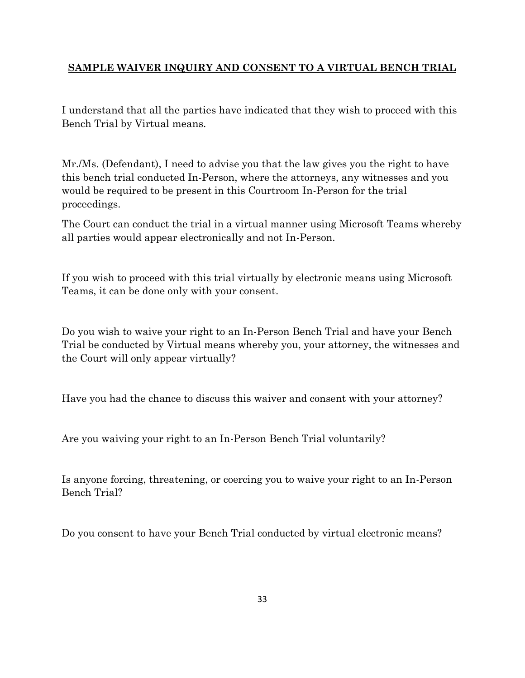#### **SAMPLE WAIVER INQUIRY AND CONSENT TO A VIRTUAL BENCH TRIAL**

I understand that all the parties have indicated that they wish to proceed with this Bench Trial by Virtual means.

Mr./Ms. (Defendant), I need to advise you that the law gives you the right to have this bench trial conducted In-Person, where the attorneys, any witnesses and you would be required to be present in this Courtroom In-Person for the trial proceedings.

The Court can conduct the trial in a virtual manner using Microsoft Teams whereby all parties would appear electronically and not In-Person.

If you wish to proceed with this trial virtually by electronic means using Microsoft Teams, it can be done only with your consent.

Do you wish to waive your right to an In-Person Bench Trial and have your Bench Trial be conducted by Virtual means whereby you, your attorney, the witnesses and the Court will only appear virtually?

Have you had the chance to discuss this waiver and consent with your attorney?

Are you waiving your right to an In-Person Bench Trial voluntarily?

Is anyone forcing, threatening, or coercing you to waive your right to an In-Person Bench Trial?

Do you consent to have your Bench Trial conducted by virtual electronic means?